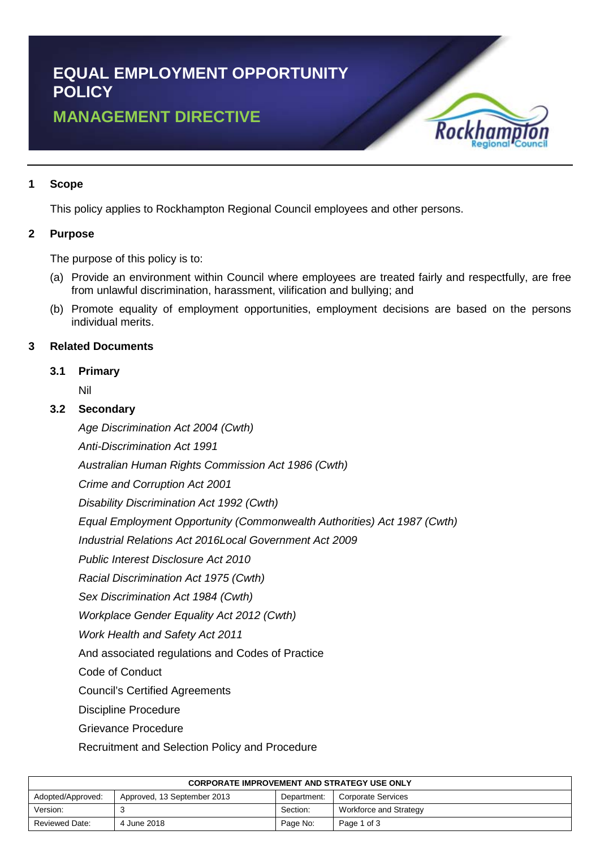# **EQUAL EMPLOYMENT OPPORTUNITY POLICY MANAGEMENT DIRECTIVE**



### **1 Scope**

This policy applies to Rockhampton Regional Council employees and other persons.

### **2 Purpose**

The purpose of this policy is to:

- (a) Provide an environment within Council where employees are treated fairly and respectfully, are free from unlawful discrimination, harassment, vilification and bullying; and
- (b) Promote equality of employment opportunities, employment decisions are based on the persons individual merits.

#### **3 Related Documents**

#### **3.1 Primary**

Nil

### **3.2 Secondary**

*Age Discrimination Act 2004 (Cwth)*

*Anti-Discrimination Act 1991*

*Australian Human Rights Commission Act 1986 (Cwth)*

*Crime and Corruption Act 2001*

*Disability Discrimination Act 1992 (Cwth)*

*Equal Employment Opportunity (Commonwealth Authorities) Act 1987 (Cwth)*

*Industrial Relations Act 2016Local Government Act 2009*

*Public Interest Disclosure Act 2010*

*Racial Discrimination Act 1975 (Cwth)*

*Sex Discrimination Act 1984 (Cwth)*

*Workplace Gender Equality Act 2012 (Cwth)*

*Work Health and Safety Act 2011*

And associated regulations and Codes of Practice

Code of Conduct

Council's Certified Agreements

Discipline Procedure

Grievance Procedure

Recruitment and Selection Policy and Procedure

| <b>CORPORATE IMPROVEMENT AND STRATEGY USE ONLY</b> |                             |             |                        |  |  |
|----------------------------------------------------|-----------------------------|-------------|------------------------|--|--|
| Adopted/Approved:                                  | Approved, 13 September 2013 | Department: | Corporate Services     |  |  |
| Version:                                           |                             | Section:    | Workforce and Strategy |  |  |
| <b>Reviewed Date:</b>                              | 4 June 2018                 | Page No:    | Page 1 of 3            |  |  |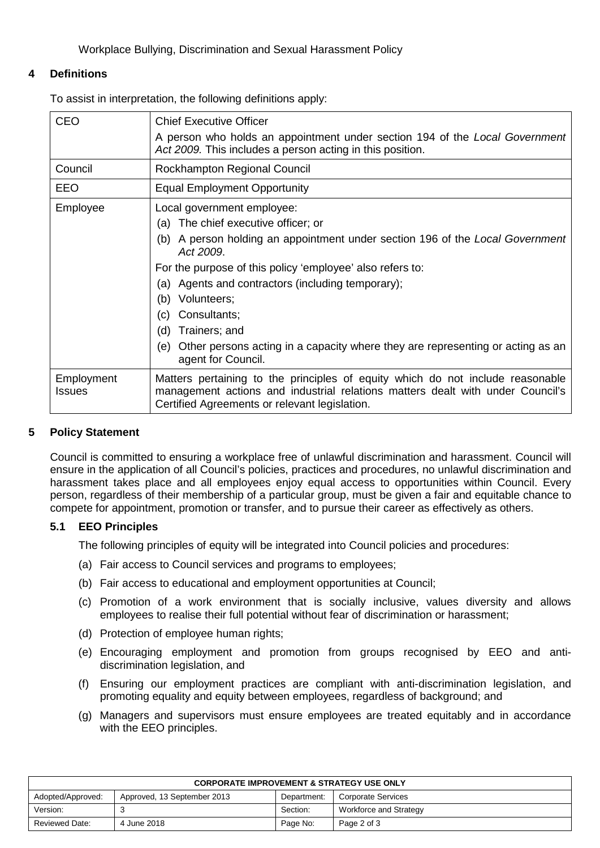Workplace Bullying, Discrimination and Sexual Harassment Policy

# **4 Definitions**

To assist in interpretation, the following definitions apply:

| <b>CEO</b>                                                                                                        | <b>Chief Executive Officer</b>                                                                                                                                                                                    |  |                    |
|-------------------------------------------------------------------------------------------------------------------|-------------------------------------------------------------------------------------------------------------------------------------------------------------------------------------------------------------------|--|--------------------|
|                                                                                                                   | A person who holds an appointment under section 194 of the Local Government<br>Act 2009. This includes a person acting in this position.                                                                          |  |                    |
| Council                                                                                                           | Rockhampton Regional Council                                                                                                                                                                                      |  |                    |
| EEO                                                                                                               | <b>Equal Employment Opportunity</b>                                                                                                                                                                               |  |                    |
| Employee                                                                                                          | Local government employee:                                                                                                                                                                                        |  |                    |
|                                                                                                                   | (a) The chief executive officer; or                                                                                                                                                                               |  |                    |
|                                                                                                                   | (b) A person holding an appointment under section 196 of the Local Government<br>Act 2009.                                                                                                                        |  |                    |
| For the purpose of this policy 'employee' also refers to:<br>Agents and contractors (including temporary);<br>(a) |                                                                                                                                                                                                                   |  |                    |
|                                                                                                                   |                                                                                                                                                                                                                   |  | (b)<br>Volunteers; |
|                                                                                                                   | Consultants;<br>(c)                                                                                                                                                                                               |  |                    |
|                                                                                                                   | Trainers; and<br>(d)                                                                                                                                                                                              |  |                    |
|                                                                                                                   | Other persons acting in a capacity where they are representing or acting as an<br>(e)<br>agent for Council.                                                                                                       |  |                    |
| Employment<br><b>Issues</b>                                                                                       | Matters pertaining to the principles of equity which do not include reasonable<br>management actions and industrial relations matters dealt with under Council's<br>Certified Agreements or relevant legislation. |  |                    |
|                                                                                                                   |                                                                                                                                                                                                                   |  |                    |

### **5 Policy Statement**

Council is committed to ensuring a workplace free of unlawful discrimination and harassment. Council will ensure in the application of all Council's policies, practices and procedures, no unlawful discrimination and harassment takes place and all employees enjoy equal access to opportunities within Council. Every person, regardless of their membership of a particular group, must be given a fair and equitable chance to compete for appointment, promotion or transfer, and to pursue their career as effectively as others.

### **5.1 EEO Principles**

The following principles of equity will be integrated into Council policies and procedures:

- (a) Fair access to Council services and programs to employees;
- (b) Fair access to educational and employment opportunities at Council;
- (c) Promotion of a work environment that is socially inclusive, values diversity and allows employees to realise their full potential without fear of discrimination or harassment;
- (d) Protection of employee human rights;
- (e) Encouraging employment and promotion from groups recognised by EEO and antidiscrimination legislation, and
- (f) Ensuring our employment practices are compliant with anti-discrimination legislation, and promoting equality and equity between employees, regardless of background; and
- (g) Managers and supervisors must ensure employees are treated equitably and in accordance with the EEO principles.

| <b>CORPORATE IMPROVEMENT &amp; STRATEGY USE ONLY</b> |                             |             |                        |  |  |
|------------------------------------------------------|-----------------------------|-------------|------------------------|--|--|
| Adopted/Approved:                                    | Approved, 13 September 2013 | Department: | Corporate Services     |  |  |
| Version:                                             |                             | Section:    | Workforce and Strategy |  |  |
| <b>Reviewed Date:</b>                                | 4 June 2018                 | Page No:    | Page 2 of 3            |  |  |